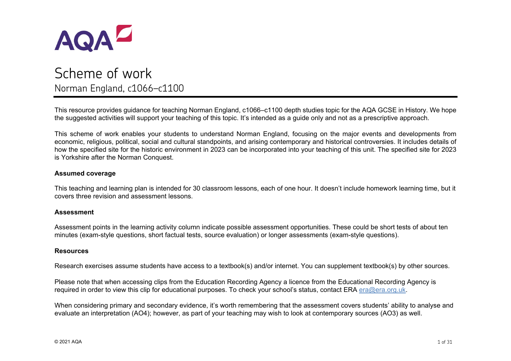

# Norman England, c1066–c1100

This resource provides guidance for teaching Norman England, c1066–c1100 depth studies topic for the AQA GCSE in History. We hope the suggested activities will support your teaching of this topic. It's intended as a guide only and not as a prescriptive approach.

This scheme of work enables your students to understand Norman England, focusing on the major events and developments from economic, religious, political, social and cultural standpoints, and arising contemporary and historical controversies. It includes details of how the specified site for the historic environment in 2023 can be incorporated into your teaching of this unit. The specified site for 2023 is Yorkshire after the Norman Conquest.

#### **Assumed coverage**

This teaching and learning plan is intended for 30 classroom lessons, each of one hour. It doesn't include homework learning time, but it covers three revision and assessment lessons.

#### **Assessment**

Assessment points in the learning activity column indicate possible assessment opportunities. These could be short tests of about ten minutes (exam-style questions, short factual tests, source evaluation) or longer assessments (exam-style questions).

#### **Resources**

Research exercises assume students have access to a textbook(s) and/or internet. You can supplement textbook(s) by other sources.

Please note that when accessing clips from the Education Recording Agency a licence from the Educational Recording Agency is required in order to view this clip for educational purposes. To check your school's status, contact ERA [era@era.org.uk.](mailto:era@era.org.uk)

When considering primary and secondary evidence, it's worth remembering that the assessment covers students' ability to analyse and evaluate an interpretation (AO4); however, as part of your teaching may wish to look at contemporary sources (AO3) as well.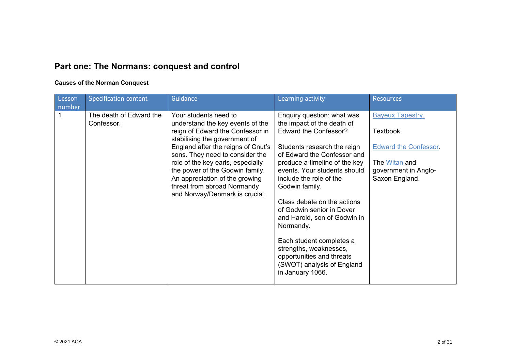# **Part one: The Normans: conquest and control**

#### **Causes of the Norman Conquest**

| Lesson<br>number | <b>Specification content</b>          | Guidance                                                                                                                                                                                                                                                                                                                                                                           | Learning activity                                                                                                                                                                                                                                                                                                                                                                                                                                                                                           | <b>Resources</b>                                                                                                                |
|------------------|---------------------------------------|------------------------------------------------------------------------------------------------------------------------------------------------------------------------------------------------------------------------------------------------------------------------------------------------------------------------------------------------------------------------------------|-------------------------------------------------------------------------------------------------------------------------------------------------------------------------------------------------------------------------------------------------------------------------------------------------------------------------------------------------------------------------------------------------------------------------------------------------------------------------------------------------------------|---------------------------------------------------------------------------------------------------------------------------------|
|                  | The death of Edward the<br>Confessor. | Your students need to<br>understand the key events of the<br>reign of Edward the Confessor in<br>stabilising the government of<br>England after the reigns of Cnut's<br>sons. They need to consider the<br>role of the key earls, especially<br>the power of the Godwin family.<br>An appreciation of the growing<br>threat from abroad Normandy<br>and Norway/Denmark is crucial. | Enquiry question: what was<br>the impact of the death of<br>Edward the Confessor?<br>Students research the reign<br>of Edward the Confessor and<br>produce a timeline of the key<br>events. Your students should<br>include the role of the<br>Godwin family.<br>Class debate on the actions<br>of Godwin senior in Dover<br>and Harold, son of Godwin in<br>Normandy.<br>Each student completes a<br>strengths, weaknesses,<br>opportunities and threats<br>(SWOT) analysis of England<br>in January 1066. | <b>Bayeux Tapestry.</b><br>Textbook.<br><b>Edward the Confessor.</b><br>The Witan and<br>government in Anglo-<br>Saxon England. |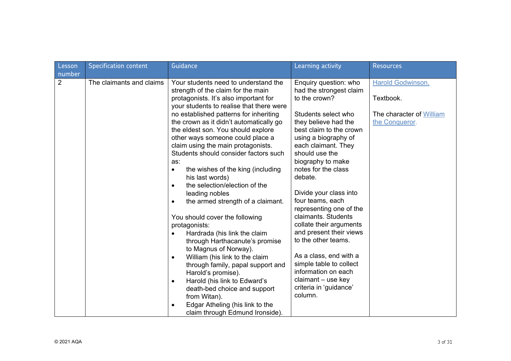| Lesson         | <b>Specification content</b> | Guidance                                                                                                                                                                                                                                                                                                                                                                                                                                                                                                                                                                                                                                                                                                                                                                                                                                               | Learning activity                                                                                                                                                                                                                                                                                                                                                                                                                                                                                                  | <b>Resources</b>                           |
|----------------|------------------------------|--------------------------------------------------------------------------------------------------------------------------------------------------------------------------------------------------------------------------------------------------------------------------------------------------------------------------------------------------------------------------------------------------------------------------------------------------------------------------------------------------------------------------------------------------------------------------------------------------------------------------------------------------------------------------------------------------------------------------------------------------------------------------------------------------------------------------------------------------------|--------------------------------------------------------------------------------------------------------------------------------------------------------------------------------------------------------------------------------------------------------------------------------------------------------------------------------------------------------------------------------------------------------------------------------------------------------------------------------------------------------------------|--------------------------------------------|
| number         |                              |                                                                                                                                                                                                                                                                                                                                                                                                                                                                                                                                                                                                                                                                                                                                                                                                                                                        |                                                                                                                                                                                                                                                                                                                                                                                                                                                                                                                    |                                            |
| $\overline{2}$ | The claimants and claims     | Your students need to understand the<br>strength of the claim for the main<br>protagonists. It's also important for                                                                                                                                                                                                                                                                                                                                                                                                                                                                                                                                                                                                                                                                                                                                    | Enquiry question: who<br>had the strongest claim<br>to the crown?                                                                                                                                                                                                                                                                                                                                                                                                                                                  | Harold Godwinson.<br>Textbook.             |
|                |                              | your students to realise that there were<br>no established patterns for inheriting<br>the crown as it didn't automatically go<br>the eldest son. You should explore<br>other ways someone could place a<br>claim using the main protagonists.<br>Students should consider factors such<br>as:<br>the wishes of the king (including<br>$\bullet$<br>his last words)<br>the selection/election of the<br>$\bullet$<br>leading nobles<br>the armed strength of a claimant.<br>$\bullet$<br>You should cover the following<br>protagonists:<br>Hardrada (his link the claim<br>$\bullet$<br>through Harthacanute's promise<br>to Magnus of Norway).<br>William (his link to the claim<br>$\bullet$<br>through family, papal support and<br>Harold's promise).<br>Harold (his link to Edward's<br>$\bullet$<br>death-bed choice and support<br>from Witan). | Students select who<br>they believe had the<br>best claim to the crown<br>using a biography of<br>each claimant. They<br>should use the<br>biography to make<br>notes for the class<br>debate.<br>Divide your class into<br>four teams, each<br>representing one of the<br>claimants. Students<br>collate their arguments<br>and present their views<br>to the other teams.<br>As a class, end with a<br>simple table to collect<br>information on each<br>claimant - use key<br>criteria in 'guidance'<br>column. | The character of William<br>the Conqueror. |
|                |                              | Edgar Atheling (his link to the<br>٠<br>claim through Edmund Ironside).                                                                                                                                                                                                                                                                                                                                                                                                                                                                                                                                                                                                                                                                                                                                                                                |                                                                                                                                                                                                                                                                                                                                                                                                                                                                                                                    |                                            |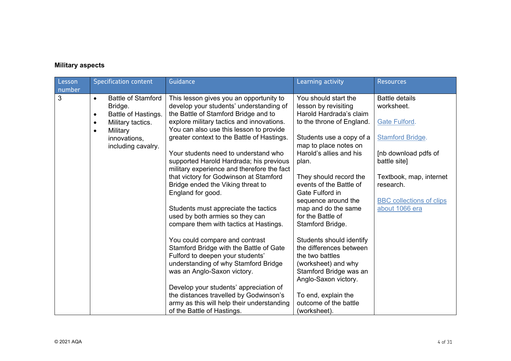## **Military aspects**

| Lesson<br>number | <b>Specification content</b>                | Guidance                                                                              | Learning activity                               | <b>Resources</b>                     |
|------------------|---------------------------------------------|---------------------------------------------------------------------------------------|-------------------------------------------------|--------------------------------------|
| 3                | <b>Battle of Stamford</b><br>$\bullet$      | This lesson gives you an opportunity to                                               | You should start the                            | <b>Battle details</b>                |
|                  | Bridge.<br>Battle of Hastings.<br>$\bullet$ | develop your students' understanding of<br>the Battle of Stamford Bridge and to       | lesson by revisiting<br>Harold Hardrada's claim | worksheet.                           |
|                  | Military tactics.<br>$\bullet$              | explore military tactics and innovations.                                             | to the throne of England.                       | <b>Gate Fulford.</b>                 |
|                  | Military<br>$\bullet$<br>innovations,       | You can also use this lesson to provide<br>greater context to the Battle of Hastings. | Students use a copy of a                        | <b>Stamford Bridge.</b>              |
|                  | including cavalry.                          |                                                                                       | map to place notes on                           |                                      |
|                  |                                             | Your students need to understand who<br>supported Harold Hardrada; his previous       | Harold's allies and his<br>plan.                | [nb download pdfs of<br>battle site] |
|                  |                                             | military experience and therefore the fact                                            |                                                 |                                      |
|                  |                                             | that victory for Godwinson at Stamford                                                | They should record the                          | Textbook, map, internet              |
|                  |                                             | Bridge ended the Viking threat to<br>England for good.                                | events of the Battle of<br>Gate Fulford in      | research.                            |
|                  |                                             |                                                                                       | sequence around the                             | <b>BBC</b> collections of clips      |
|                  |                                             | Students must appreciate the tactics<br>used by both armies so they can               | map and do the same<br>for the Battle of        | about 1066 era                       |
|                  |                                             | compare them with tactics at Hastings.                                                | Stamford Bridge.                                |                                      |
|                  |                                             | You could compare and contrast                                                        | Students should identify                        |                                      |
|                  |                                             | Stamford Bridge with the Battle of Gate                                               | the differences between                         |                                      |
|                  |                                             | Fulford to deepen your students'<br>understanding of why Stamford Bridge              | the two battles<br>(worksheet) and why          |                                      |
|                  |                                             | was an Anglo-Saxon victory.                                                           | Stamford Bridge was an                          |                                      |
|                  |                                             |                                                                                       | Anglo-Saxon victory.                            |                                      |
|                  |                                             | Develop your students' appreciation of<br>the distances travelled by Godwinson's      | To end, explain the                             |                                      |
|                  |                                             | army as this will help their understanding                                            | outcome of the battle                           |                                      |
|                  |                                             | of the Battle of Hastings.                                                            | (worksheet).                                    |                                      |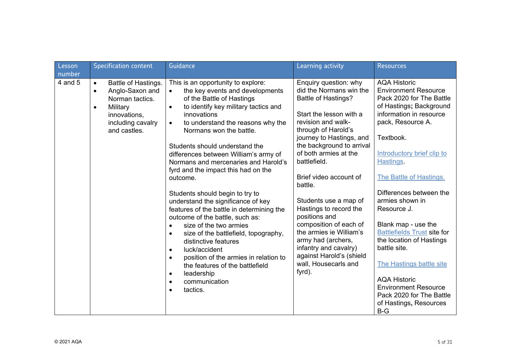| Lesson            | <b>Specification content</b>                                                                                                                                      | Guidance                                                                                                                                                                                                                                                                                                                                                                                                                                                                                                                                                                                                                                                                                                                                                                                                                                                                                           | Learning activity                                                                                                                                                                                                                                                                                                                                                                                                                                                                                                                   | <b>Resources</b>                                                                                                                                                                                                                                                                                                                                                                                                                                                                                                                                                    |
|-------------------|-------------------------------------------------------------------------------------------------------------------------------------------------------------------|----------------------------------------------------------------------------------------------------------------------------------------------------------------------------------------------------------------------------------------------------------------------------------------------------------------------------------------------------------------------------------------------------------------------------------------------------------------------------------------------------------------------------------------------------------------------------------------------------------------------------------------------------------------------------------------------------------------------------------------------------------------------------------------------------------------------------------------------------------------------------------------------------|-------------------------------------------------------------------------------------------------------------------------------------------------------------------------------------------------------------------------------------------------------------------------------------------------------------------------------------------------------------------------------------------------------------------------------------------------------------------------------------------------------------------------------------|---------------------------------------------------------------------------------------------------------------------------------------------------------------------------------------------------------------------------------------------------------------------------------------------------------------------------------------------------------------------------------------------------------------------------------------------------------------------------------------------------------------------------------------------------------------------|
| number<br>4 and 5 | Battle of Hastings.<br>$\bullet$<br>Anglo-Saxon and<br>$\bullet$<br>Norman tactics.<br>Military<br>$\bullet$<br>innovations,<br>including cavalry<br>and castles. | This is an opportunity to explore:<br>the key events and developments<br>of the Battle of Hastings<br>to identify key military tactics and<br>$\bullet$<br>innovations<br>to understand the reasons why the<br>$\bullet$<br>Normans won the battle.<br>Students should understand the<br>differences between William's army of<br>Normans and mercenaries and Harold's<br>fyrd and the impact this had on the<br>outcome.<br>Students should begin to try to<br>understand the significance of key<br>features of the battle in determining the<br>outcome of the battle, such as:<br>size of the two armies<br>$\bullet$<br>size of the battlefield, topography,<br>$\bullet$<br>distinctive features<br>luck/accident<br>$\bullet$<br>position of the armies in relation to<br>$\bullet$<br>the features of the battlefield<br>leadership<br>$\bullet$<br>communication<br>$\bullet$<br>tactics. | Enquiry question: why<br>did the Normans win the<br><b>Battle of Hastings?</b><br>Start the lesson with a<br>revision and walk-<br>through of Harold's<br>journey to Hastings, and<br>the background to arrival<br>of both armies at the<br>battlefield.<br>Brief video account of<br>battle.<br>Students use a map of<br>Hastings to record the<br>positions and<br>composition of each of<br>the armies ie William's<br>army had (archers,<br>infantry and cavalry)<br>against Harold's (shield<br>wall, Housecarls and<br>fyrd). | <b>AQA Historic</b><br><b>Environment Resource</b><br>Pack 2020 for The Battle<br>of Hastings; Background<br>information in resource<br>pack, Resource A.<br>Textbook.<br>Introductory brief clip to<br>Hastings.<br>The Battle of Hastings.<br>Differences between the<br>armies shown in<br>Resource J.<br>Blank map - use the<br><b>Battlefields Trust site for</b><br>the location of Hastings<br>battle site.<br>The Hastings battle site<br><b>AQA Historic</b><br><b>Environment Resource</b><br>Pack 2020 for The Battle<br>of Hastings, Resources<br>$B-G$ |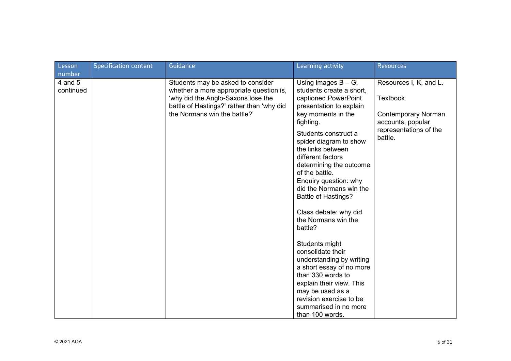| Lesson<br>number     | <b>Specification content</b> | Guidance                                                                                                                                                                                        | Learning activity                                                                                                                                                                                                                                                                                                                                                                                                                                                                                                                                                                                                                                                         | <b>Resources</b>                                                                                                            |
|----------------------|------------------------------|-------------------------------------------------------------------------------------------------------------------------------------------------------------------------------------------------|---------------------------------------------------------------------------------------------------------------------------------------------------------------------------------------------------------------------------------------------------------------------------------------------------------------------------------------------------------------------------------------------------------------------------------------------------------------------------------------------------------------------------------------------------------------------------------------------------------------------------------------------------------------------------|-----------------------------------------------------------------------------------------------------------------------------|
| 4 and 5<br>continued |                              | Students may be asked to consider<br>whether a more appropriate question is,<br>'why did the Anglo-Saxons lose the<br>battle of Hastings?' rather than 'why did<br>the Normans win the battle?' | Using images $B - G$ ,<br>students create a short,<br>captioned PowerPoint<br>presentation to explain<br>key moments in the<br>fighting.<br>Students construct a<br>spider diagram to show<br>the links between<br>different factors<br>determining the outcome<br>of the battle.<br>Enquiry question: why<br>did the Normans win the<br><b>Battle of Hastings?</b><br>Class debate: why did<br>the Normans win the<br>battle?<br>Students might<br>consolidate their<br>understanding by writing<br>a short essay of no more<br>than 330 words to<br>explain their view. This<br>may be used as a<br>revision exercise to be<br>summarised in no more<br>than 100 words. | Resources I, K, and L.<br>Textbook.<br><b>Contemporary Norman</b><br>accounts, popular<br>representations of the<br>battle. |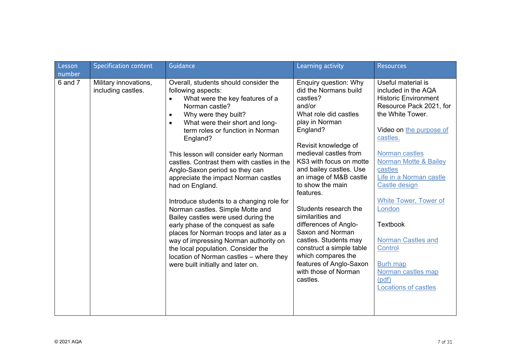| Lesson<br>number | <b>Specification content</b>                | Guidance                                                                                                                                                                                                                                                                                                                                                                                                                                                                                                                                                                                                                                                                                                                                                                                                                          | Learning activity                                                                                                                                                                                                                                                                                                                                                                                                                                                                                                                 | <b>Resources</b>                                                                                                                                                                                                                                                                                                                                                                                                                                                         |
|------------------|---------------------------------------------|-----------------------------------------------------------------------------------------------------------------------------------------------------------------------------------------------------------------------------------------------------------------------------------------------------------------------------------------------------------------------------------------------------------------------------------------------------------------------------------------------------------------------------------------------------------------------------------------------------------------------------------------------------------------------------------------------------------------------------------------------------------------------------------------------------------------------------------|-----------------------------------------------------------------------------------------------------------------------------------------------------------------------------------------------------------------------------------------------------------------------------------------------------------------------------------------------------------------------------------------------------------------------------------------------------------------------------------------------------------------------------------|--------------------------------------------------------------------------------------------------------------------------------------------------------------------------------------------------------------------------------------------------------------------------------------------------------------------------------------------------------------------------------------------------------------------------------------------------------------------------|
| $6$ and $7$      | Military innovations,<br>including castles. | Overall, students should consider the<br>following aspects:<br>What were the key features of a<br>$\bullet$<br>Norman castle?<br>Why were they built?<br>$\bullet$<br>What were their short and long-<br>$\bullet$<br>term roles or function in Norman<br>England?<br>This lesson will consider early Norman<br>castles. Contrast them with castles in the<br>Anglo-Saxon period so they can<br>appreciate the impact Norman castles<br>had on England.<br>Introduce students to a changing role for<br>Norman castles. Simple Motte and<br>Bailey castles were used during the<br>early phase of the conquest as safe<br>places for Norman troops and later as a<br>way of impressing Norman authority on<br>the local population. Consider the<br>location of Norman castles - where they<br>were built initially and later on. | Enquiry question: Why<br>did the Normans build<br>castles?<br>and/or<br>What role did castles<br>play in Norman<br>England?<br>Revisit knowledge of<br>medieval castles from<br>KS3 with focus on motte<br>and bailey castles. Use<br>an image of M&B castle<br>to show the main<br>features.<br>Students research the<br>similarities and<br>differences of Anglo-<br>Saxon and Norman<br>castles. Students may<br>construct a simple table<br>which compares the<br>features of Anglo-Saxon<br>with those of Norman<br>castles. | Useful material is<br>included in the AQA<br><b>Historic Environment</b><br>Resource Pack 2021, for<br>the White Tower.<br>Video on the purpose of<br>castles.<br>Norman castles<br><b>Norman Motte &amp; Bailey</b><br>castles<br>Life in a Norman castle<br>Castle design<br><b>White Tower, Tower of</b><br>London<br><b>Textbook</b><br><b>Norman Castles and</b><br><b>Control</b><br><b>Burh map</b><br>Norman castles map<br>(pdf)<br><b>Locations of castles</b> |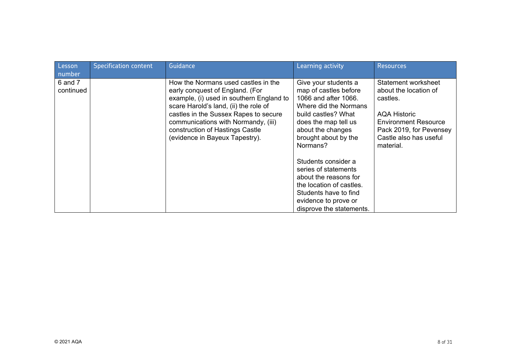| Lesson                         | <b>Specification content</b> | Guidance                                                                                                                                                                                                                                                                                                         | Learning activity                                                                                                                                                                                                                                                                                                                                                                       | <b>Resources</b>                                                                                                                                                                 |
|--------------------------------|------------------------------|------------------------------------------------------------------------------------------------------------------------------------------------------------------------------------------------------------------------------------------------------------------------------------------------------------------|-----------------------------------------------------------------------------------------------------------------------------------------------------------------------------------------------------------------------------------------------------------------------------------------------------------------------------------------------------------------------------------------|----------------------------------------------------------------------------------------------------------------------------------------------------------------------------------|
| number<br>6 and 7<br>continued |                              | How the Normans used castles in the<br>early conquest of England. (For<br>example, (i) used in southern England to<br>scare Harold's land, (ii) the role of<br>castles in the Sussex Rapes to secure<br>communications with Normandy, (iii)<br>construction of Hastings Castle<br>(evidence in Bayeux Tapestry). | Give your students a<br>map of castles before<br>1066 and after 1066.<br>Where did the Normans<br>build castles? What<br>does the map tell us<br>about the changes<br>brought about by the<br>Normans?<br>Students consider a<br>series of statements<br>about the reasons for<br>the location of castles.<br>Students have to find<br>evidence to prove or<br>disprove the statements. | Statement worksheet<br>about the location of<br>castles.<br><b>AQA Historic</b><br><b>Environment Resource</b><br>Pack 2019, for Pevensey<br>Castle also has useful<br>material. |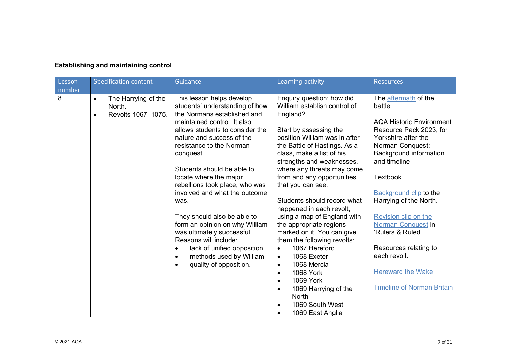| <b>Establishing and maintaining control</b> |  |  |
|---------------------------------------------|--|--|
|---------------------------------------------|--|--|

| Lesson<br>number | <b>Specification content</b>                                                  | Guidance                                                                                                                                                                                                                                                                                                                                                                                                                                                                                                                                                                                                   | Learning activity                                                                                                                                                                                                                                                                                                                                                                                                                                                                                                                                                                                                                                                                                                             | <b>Resources</b>                                                                                                                                                                                                                                                                                                                                                                                                                               |
|------------------|-------------------------------------------------------------------------------|------------------------------------------------------------------------------------------------------------------------------------------------------------------------------------------------------------------------------------------------------------------------------------------------------------------------------------------------------------------------------------------------------------------------------------------------------------------------------------------------------------------------------------------------------------------------------------------------------------|-------------------------------------------------------------------------------------------------------------------------------------------------------------------------------------------------------------------------------------------------------------------------------------------------------------------------------------------------------------------------------------------------------------------------------------------------------------------------------------------------------------------------------------------------------------------------------------------------------------------------------------------------------------------------------------------------------------------------------|------------------------------------------------------------------------------------------------------------------------------------------------------------------------------------------------------------------------------------------------------------------------------------------------------------------------------------------------------------------------------------------------------------------------------------------------|
| 8                | The Harrying of the<br>$\bullet$<br>North.<br>Revolts 1067-1075.<br>$\bullet$ | This lesson helps develop<br>students' understanding of how<br>the Normans established and<br>maintained control. It also<br>allows students to consider the<br>nature and success of the<br>resistance to the Norman<br>conquest.<br>Students should be able to<br>locate where the major<br>rebellions took place, who was<br>involved and what the outcome<br>was.<br>They should also be able to<br>form an opinion on why William<br>was ultimately successful.<br>Reasons will include:<br>lack of unified opposition<br>methods used by William<br>$\bullet$<br>quality of opposition.<br>$\bullet$ | Enquiry question: how did<br>William establish control of<br>England?<br>Start by assessing the<br>position William was in after<br>the Battle of Hastings. As a<br>class, make a list of his<br>strengths and weaknesses,<br>where any threats may come<br>from and any opportunities<br>that you can see.<br>Students should record what<br>happened in each revolt,<br>using a map of England with<br>the appropriate regions<br>marked on it. You can give<br>them the following revolts:<br>1067 Hereford<br>$\bullet$<br>1068 Exeter<br>$\bullet$<br>1068 Mercia<br>$\bullet$<br><b>1068 York</b><br>$\bullet$<br>1069 York<br>$\bullet$<br>1069 Harrying of the<br><b>North</b><br>1069 South West<br>1069 East Anglia | The aftermath of the<br>battle.<br><b>AQA Historic Environment</b><br>Resource Pack 2023, for<br>Yorkshire after the<br>Norman Conquest:<br>Background information<br>and timeline.<br>Textbook.<br><b>Background clip to the</b><br>Harrying of the North.<br>Revision clip on the<br><b>Norman Conquest in</b><br>'Rulers & Ruled'<br>Resources relating to<br>each revolt.<br><b>Hereward the Wake</b><br><b>Timeline of Norman Britain</b> |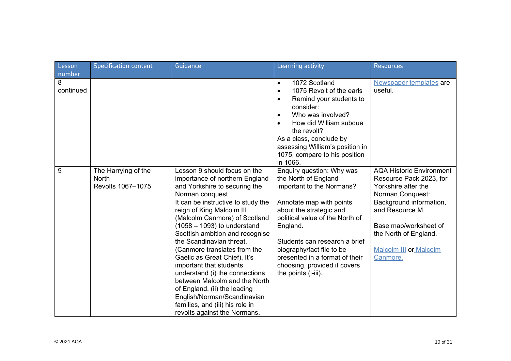| Lesson                   | <b>Specification content</b>                             | Guidance                                                                                                                                                                                                                                                                                                                                                                                                                                                                                                                                                                                                                | Learning activity                                                                                                                                                                                                                                                                                                                           | <b>Resources</b>                                                                                                                                                                                                                                   |
|--------------------------|----------------------------------------------------------|-------------------------------------------------------------------------------------------------------------------------------------------------------------------------------------------------------------------------------------------------------------------------------------------------------------------------------------------------------------------------------------------------------------------------------------------------------------------------------------------------------------------------------------------------------------------------------------------------------------------------|---------------------------------------------------------------------------------------------------------------------------------------------------------------------------------------------------------------------------------------------------------------------------------------------------------------------------------------------|----------------------------------------------------------------------------------------------------------------------------------------------------------------------------------------------------------------------------------------------------|
| number<br>8<br>continued |                                                          |                                                                                                                                                                                                                                                                                                                                                                                                                                                                                                                                                                                                                         | 1072 Scotland<br>$\bullet$<br>1075 Revolt of the earls<br>$\bullet$<br>Remind your students to<br>$\bullet$<br>consider:<br>Who was involved?<br>$\bullet$<br>How did William subdue<br>the revolt?<br>As a class, conclude by<br>assessing William's position in<br>1075, compare to his position<br>in 1066.                              | Newspaper templates are<br>useful.                                                                                                                                                                                                                 |
| 9                        | The Harrying of the<br><b>North</b><br>Revolts 1067-1075 | Lesson 9 should focus on the<br>importance of northern England<br>and Yorkshire to securing the<br>Norman conquest.<br>It can be instructive to study the<br>reign of King Malcolm III<br>(Malcolm Canmore) of Scotland<br>$(1058 - 1093)$ to understand<br>Scottish ambition and recognise<br>the Scandinavian threat.<br>(Canmore translates from the<br>Gaelic as Great Chief). It's<br>important that students<br>understand (i) the connections<br>between Malcolm and the North<br>of England, (ii) the leading<br>English/Norman/Scandinavian<br>families, and (iii) his role in<br>revolts against the Normans. | Enquiry question: Why was<br>the North of England<br>important to the Normans?<br>Annotate map with points<br>about the strategic and<br>political value of the North of<br>England.<br>Students can research a brief<br>biography/fact file to be<br>presented in a format of their<br>choosing, provided it covers<br>the points (i-iii). | <b>AQA Historic Environment</b><br>Resource Pack 2023, for<br>Yorkshire after the<br>Norman Conquest:<br>Background information,<br>and Resource M.<br>Base map/worksheet of<br>the North of England.<br><b>Malcolm III or Malcolm</b><br>Canmore. |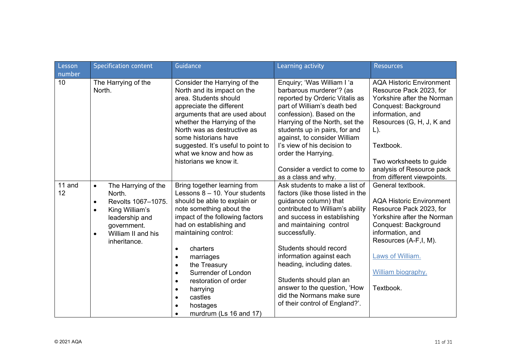| Lesson<br>number | <b>Specification content</b>                                                                                                                                                                     | Guidance                                                                                                                                                                                                                                                                                                                                                                                                                                           | Learning activity                                                                                                                                                                                                                                                                                                                                                                                                        | <b>Resources</b>                                                                                                                                                                                                                                                               |
|------------------|--------------------------------------------------------------------------------------------------------------------------------------------------------------------------------------------------|----------------------------------------------------------------------------------------------------------------------------------------------------------------------------------------------------------------------------------------------------------------------------------------------------------------------------------------------------------------------------------------------------------------------------------------------------|--------------------------------------------------------------------------------------------------------------------------------------------------------------------------------------------------------------------------------------------------------------------------------------------------------------------------------------------------------------------------------------------------------------------------|--------------------------------------------------------------------------------------------------------------------------------------------------------------------------------------------------------------------------------------------------------------------------------|
| 10               | The Harrying of the<br>North.                                                                                                                                                                    | Consider the Harrying of the<br>North and its impact on the<br>area. Students should<br>appreciate the different<br>arguments that are used about<br>whether the Harrying of the<br>North was as destructive as<br>some historians have<br>suggested. It's useful to point to<br>what we know and how as<br>historians we know it.                                                                                                                 | Enquiry; 'Was William I 'a<br>barbarous murderer'? (as<br>reported by Orderic Vitalis as<br>part of William's death bed<br>confession). Based on the<br>Harrying of the North, set the<br>students up in pairs, for and<br>against, to consider William<br>I's view of his decision to<br>order the Harrying.<br>Consider a verdict to come to<br>as a class and why.                                                    | <b>AQA Historic Environment</b><br>Resource Pack 2023, for<br>Yorkshire after the Norman<br>Conquest: Background<br>information, and<br>Resources (G, H, J, K and<br>$L$ ).<br>Textbook.<br>Two worksheets to guide<br>analysis of Resource pack<br>from different viewpoints. |
| 11 and<br>12     | The Harrying of the<br>$\bullet$<br>North.<br>Revolts 1067-1075.<br>$\bullet$<br>King William's<br>$\bullet$<br>leadership and<br>government.<br>William II and his<br>$\bullet$<br>inheritance. | Bring together learning from<br>Lessons 8 - 10. Your students<br>should be able to explain or<br>note something about the<br>impact of the following factors<br>had on establishing and<br>maintaining control:<br>charters<br>$\bullet$<br>marriages<br>$\bullet$<br>the Treasury<br>$\bullet$<br>Surrender of London<br>restoration of order<br>$\bullet$<br>harrying<br>$\bullet$<br>castles<br>$\bullet$<br>hostages<br>murdrum (Ls 16 and 17) | Ask students to make a list of<br>factors (like those listed in the<br>guidance column) that<br>contributed to William's ability<br>and success in establishing<br>and maintaining control<br>successfully.<br>Students should record<br>information against each<br>heading, including dates.<br>Students should plan an<br>answer to the question, 'How<br>did the Normans make sure<br>of their control of England?'. | General textbook.<br><b>AQA Historic Environment</b><br>Resource Pack 2023, for<br>Yorkshire after the Norman<br>Conquest: Background<br>information, and<br>Resources (A-F, I, M).<br>Laws of William.<br>William biography.<br>Textbook.                                     |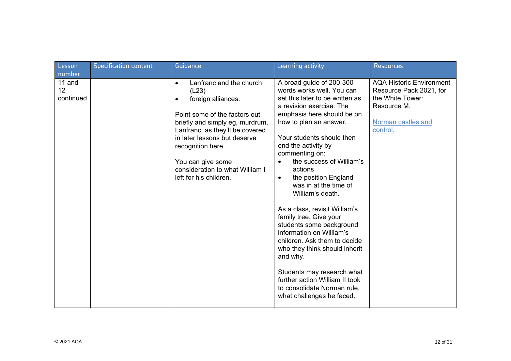| Lesson<br>number          | <b>Specification content</b> | Guidance                                                                                                                                                                                                                                                                                                               | Learning activity                                                                                                                                                                                                                                                                                                                                                                                                                                                                                                                                                                                                                                                                                                    | <b>Resources</b>                                                                                                                |
|---------------------------|------------------------------|------------------------------------------------------------------------------------------------------------------------------------------------------------------------------------------------------------------------------------------------------------------------------------------------------------------------|----------------------------------------------------------------------------------------------------------------------------------------------------------------------------------------------------------------------------------------------------------------------------------------------------------------------------------------------------------------------------------------------------------------------------------------------------------------------------------------------------------------------------------------------------------------------------------------------------------------------------------------------------------------------------------------------------------------------|---------------------------------------------------------------------------------------------------------------------------------|
| 11 and<br>12<br>continued |                              | Lanfranc and the church<br>$\bullet$<br>(L23)<br>foreign alliances.<br>٠<br>Point some of the factors out<br>briefly and simply eg, murdrum,<br>Lanfranc, as they'll be covered<br>in later lessons but deserve<br>recognition here.<br>You can give some<br>consideration to what William I<br>left for his children. | A broad guide of 200-300<br>words works well. You can<br>set this later to be written as<br>a revision exercise. The<br>emphasis here should be on<br>how to plan an answer.<br>Your students should then<br>end the activity by<br>commenting on:<br>the success of William's<br>$\bullet$<br>actions<br>the position England<br>$\bullet$<br>was in at the time of<br>William's death.<br>As a class, revisit William's<br>family tree. Give your<br>students some background<br>information on William's<br>children. Ask them to decide<br>who they think should inherit<br>and why.<br>Students may research what<br>further action William II took<br>to consolidate Norman rule,<br>what challenges he faced. | <b>AQA Historic Environment</b><br>Resource Pack 2021, for<br>the White Tower:<br>Resource M.<br>Norman castles and<br>control. |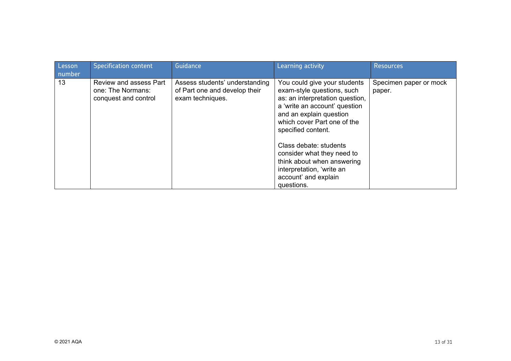| Lesson<br>number | <b>Specification content</b>                                        | Guidance                                                                            | Learning activity                                                                                                                                                                                                                                                                                                                                                       | <b>Resources</b>                 |
|------------------|---------------------------------------------------------------------|-------------------------------------------------------------------------------------|-------------------------------------------------------------------------------------------------------------------------------------------------------------------------------------------------------------------------------------------------------------------------------------------------------------------------------------------------------------------------|----------------------------------|
| 13               | Review and assess Part<br>one: The Normans:<br>conquest and control | Assess students' understanding<br>of Part one and develop their<br>exam techniques. | You could give your students<br>exam-style questions, such<br>as: an interpretation question,<br>a 'write an account' question<br>and an explain question<br>which cover Part one of the<br>specified content.<br>Class debate: students<br>consider what they need to<br>think about when answering<br>interpretation, 'write an<br>account' and explain<br>questions. | Specimen paper or mock<br>paper. |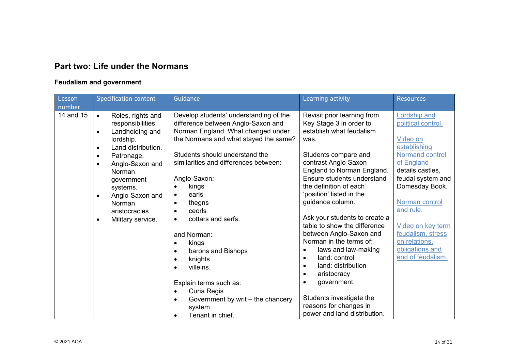## **Part two: Life under the Normans**

## **Feudalism and government**

| Lesson<br>number | <b>Specification content</b>                                                        | Guidance                                                                                                           | Learning activity                                                                  | <b>Resources</b>                          |
|------------------|-------------------------------------------------------------------------------------|--------------------------------------------------------------------------------------------------------------------|------------------------------------------------------------------------------------|-------------------------------------------|
| 14 and 15        | Roles, rights and<br>$\bullet$<br>responsibilities.<br>Landholding and<br>$\bullet$ | Develop students' understanding of the<br>difference between Anglo-Saxon and<br>Norman England. What changed under | Revisit prior learning from<br>Key Stage 3 in order to<br>establish what feudalism | <b>Lordship and</b><br>political control. |
|                  | lordship.<br>Land distribution.<br>$\bullet$                                        | the Normans and what stayed the same?                                                                              | was.                                                                               | Video on<br>establishing                  |
|                  | Patronage.<br>$\bullet$<br>Anglo-Saxon and<br>$\bullet$                             | Students should understand the<br>similarities and differences between:                                            | Students compare and<br>contrast Anglo-Saxon                                       | Normand control<br>of England -           |
|                  | Norman<br>government                                                                | Anglo-Saxon:                                                                                                       | England to Norman England.<br>Ensure students understand                           | details castles,<br>feudal system and     |
|                  | systems.                                                                            | kings<br>earls<br>$\bullet$                                                                                        | the definition of each<br>'position' listed in the                                 | Domesday Book.                            |
|                  | Anglo-Saxon and<br>$\bullet$<br>Norman                                              | thegns<br>$\bullet$<br>ceorls                                                                                      | guidance column.                                                                   | Norman control<br>and rule.               |
|                  | aristocracies.<br>Military service.<br>$\bullet$                                    | $\bullet$<br>cottars and serfs.<br>$\bullet$                                                                       | Ask your students to create a<br>table to show the difference                      |                                           |
|                  |                                                                                     | and Norman:                                                                                                        | between Anglo-Saxon and                                                            | Video on key term<br>feudalism, stress    |
|                  |                                                                                     | kings<br>$\bullet$<br>barons and Bishops<br>$\bullet$                                                              | Norman in the terms of:<br>laws and law-making                                     | on relations,<br>obligations and          |
|                  |                                                                                     | knights<br>٠<br>villeins.<br>$\bullet$                                                                             | land: control<br>$\bullet$<br>land: distribution<br>$\bullet$                      | end of feudalism.                         |
|                  |                                                                                     |                                                                                                                    | aristocracy<br>government.<br>$\bullet$                                            |                                           |
|                  |                                                                                     | Explain terms such as:<br>Curia Regis<br>$\bullet$                                                                 |                                                                                    |                                           |
|                  |                                                                                     | Government by writ – the chancery<br>$\bullet$<br>system                                                           | Students investigate the<br>reasons for changes in                                 |                                           |
|                  |                                                                                     | Tenant in chief.<br>$\bullet$                                                                                      | power and land distribution.                                                       |                                           |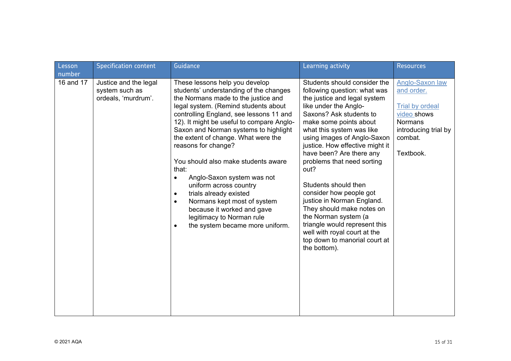| Lesson<br>number | <b>Specification content</b>                                   | Guidance                                                                                                                                                                                                                                                                                                                                                                                                                                                                                                                                                                                                                                        | Learning activity                                                                                                                                                                                                                                                                                                                                                                                                                                                                                                                                                                                   | <b>Resources</b>                                                                                                                         |
|------------------|----------------------------------------------------------------|-------------------------------------------------------------------------------------------------------------------------------------------------------------------------------------------------------------------------------------------------------------------------------------------------------------------------------------------------------------------------------------------------------------------------------------------------------------------------------------------------------------------------------------------------------------------------------------------------------------------------------------------------|-----------------------------------------------------------------------------------------------------------------------------------------------------------------------------------------------------------------------------------------------------------------------------------------------------------------------------------------------------------------------------------------------------------------------------------------------------------------------------------------------------------------------------------------------------------------------------------------------------|------------------------------------------------------------------------------------------------------------------------------------------|
| 16 and 17        | Justice and the legal<br>system such as<br>ordeals, 'murdrum'. | These lessons help you develop<br>students' understanding of the changes<br>the Normans made to the justice and<br>legal system. (Remind students about<br>controlling England, see lessons 11 and<br>12). It might be useful to compare Anglo-<br>Saxon and Norman systems to highlight<br>the extent of change. What were the<br>reasons for change?<br>You should also make students aware<br>that:<br>Anglo-Saxon system was not<br>uniform across country<br>trials already existed<br>$\bullet$<br>Normans kept most of system<br>$\bullet$<br>because it worked and gave<br>legitimacy to Norman rule<br>the system became more uniform. | Students should consider the<br>following question: what was<br>the justice and legal system<br>like under the Anglo-<br>Saxons? Ask students to<br>make some points about<br>what this system was like<br>using images of Anglo-Saxon<br>justice. How effective might it<br>have been? Are there any<br>problems that need sorting<br>out?<br>Students should then<br>consider how people got<br>justice in Norman England.<br>They should make notes on<br>the Norman system (a<br>triangle would represent this<br>well with royal court at the<br>top down to manorial court at<br>the bottom). | Anglo-Saxon law<br>and order.<br><b>Trial by ordeal</b><br>video shows<br><b>Normans</b><br>introducing trial by<br>combat.<br>Textbook. |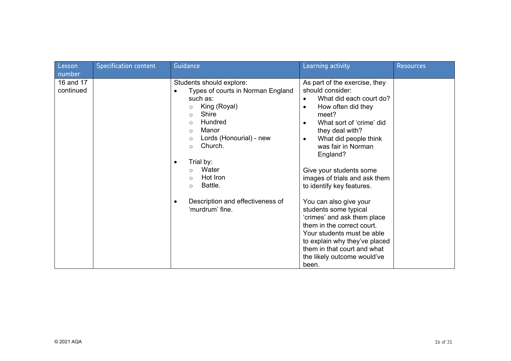| Lesson<br>number       | <b>Specification content</b> | Guidance                                                                                                                                                                                                                                                                                                                                                                                | Learning activity                                                                                                                                                                                                                                                                                                                                                                                                                                                                                                                                                                                                        | <b>Resources</b> |
|------------------------|------------------------------|-----------------------------------------------------------------------------------------------------------------------------------------------------------------------------------------------------------------------------------------------------------------------------------------------------------------------------------------------------------------------------------------|--------------------------------------------------------------------------------------------------------------------------------------------------------------------------------------------------------------------------------------------------------------------------------------------------------------------------------------------------------------------------------------------------------------------------------------------------------------------------------------------------------------------------------------------------------------------------------------------------------------------------|------------------|
| 16 and 17<br>continued |                              | Students should explore:<br>Types of courts in Norman England<br>$\bullet$<br>such as:<br>King (Royal)<br>Shire<br>$\circ$<br>Hundred<br>$\circ$<br>Manor<br>$\circ$<br>Lords (Honourial) - new<br>$\circ$<br>Church.<br>$\circ$<br>Trial by:<br>$\bullet$<br>Water<br>$\circ$<br>Hot Iron<br>$\circ$<br>Battle.<br>$\circ$<br>Description and effectiveness of<br>٠<br>'murdrum' fine. | As part of the exercise, they<br>should consider:<br>What did each court do?<br>$\bullet$<br>How often did they<br>$\bullet$<br>meet?<br>What sort of 'crime' did<br>$\bullet$<br>they deal with?<br>What did people think<br>$\bullet$<br>was fair in Norman<br>England?<br>Give your students some<br>images of trials and ask them<br>to identify key features.<br>You can also give your<br>students some typical<br>'crimes' and ask them place<br>them in the correct court.<br>Your students must be able<br>to explain why they've placed<br>them in that court and what<br>the likely outcome would've<br>been. |                  |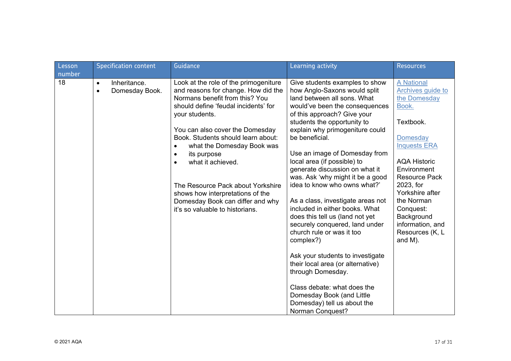| Lesson<br>number | <b>Specification content</b>                             | Guidance                                                                                                                                                                                                                                                                                                                                                                                                                                                            | Learning activity                                                                                                                                                                                                                                                                                                                                                                                                                                                                                                                                                                                                                                                                                                                                                                                                           | <b>Resources</b>                                                                                                                                                                                                                                                                                                |
|------------------|----------------------------------------------------------|---------------------------------------------------------------------------------------------------------------------------------------------------------------------------------------------------------------------------------------------------------------------------------------------------------------------------------------------------------------------------------------------------------------------------------------------------------------------|-----------------------------------------------------------------------------------------------------------------------------------------------------------------------------------------------------------------------------------------------------------------------------------------------------------------------------------------------------------------------------------------------------------------------------------------------------------------------------------------------------------------------------------------------------------------------------------------------------------------------------------------------------------------------------------------------------------------------------------------------------------------------------------------------------------------------------|-----------------------------------------------------------------------------------------------------------------------------------------------------------------------------------------------------------------------------------------------------------------------------------------------------------------|
| 18               | Inheritance.<br>$\bullet$<br>Domesday Book.<br>$\bullet$ | Look at the role of the primogeniture<br>and reasons for change. How did the<br>Normans benefit from this? You<br>should define 'feudal incidents' for<br>your students.<br>You can also cover the Domesday<br>Book. Students should learn about:<br>what the Domesday Book was<br>its purpose<br>what it achieved.<br>The Resource Pack about Yorkshire<br>shows how interpretations of the<br>Domesday Book can differ and why<br>it's so valuable to historians. | Give students examples to show<br>how Anglo-Saxons would split<br>land between all sons. What<br>would've been the consequences<br>of this approach? Give your<br>students the opportunity to<br>explain why primogeniture could<br>be beneficial.<br>Use an image of Domesday from<br>local area (if possible) to<br>generate discussion on what it<br>was. Ask 'why might it be a good<br>idea to know who owns what?'<br>As a class, investigate areas not<br>included in either books. What<br>does this tell us (land not yet<br>securely conquered, land under<br>church rule or was it too<br>complex?)<br>Ask your students to investigate<br>their local area (or alternative)<br>through Domesday.<br>Class debate: what does the<br>Domesday Book (and Little<br>Domesday) tell us about the<br>Norman Conquest? | <b>A National</b><br>Archives guide to<br>the Domesday<br>Book.<br>Textbook.<br><b>Domesday</b><br><b>Inquests ERA</b><br><b>AQA Historic</b><br>Environment<br><b>Resource Pack</b><br>2023, for<br>Yorkshire after<br>the Norman<br>Conquest:<br>Background<br>information, and<br>Resources (K, L<br>and M). |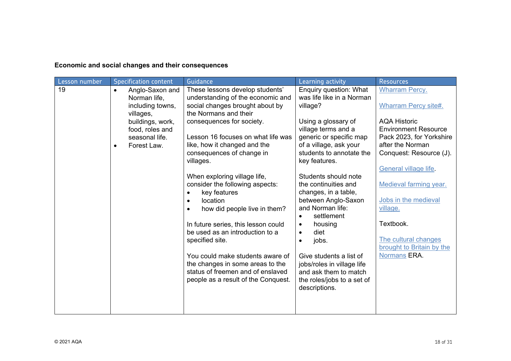**Economic and social changes and their consequences**

| Lesson number | <b>Specification content</b>  | Guidance                                                             | Learning activity                                     | <b>Resources</b>                          |
|---------------|-------------------------------|----------------------------------------------------------------------|-------------------------------------------------------|-------------------------------------------|
| 19            | Anglo-Saxon and<br>$\bullet$  | These lessons develop students'                                      | Enquiry question: What                                | <b>Wharram Percy.</b>                     |
|               | Norman life,                  | understanding of the economic and                                    | was life like in a Norman                             |                                           |
|               | including towns,<br>villages, | social changes brought about by<br>the Normans and their             | village?                                              | <b>Wharram Percy site#.</b>               |
|               | buildings, work,              | consequences for society.                                            | Using a glossary of                                   | <b>AQA Historic</b>                       |
|               | food, roles and               |                                                                      | village terms and a                                   | <b>Environment Resource</b>               |
|               | seasonal life.                | Lesson 16 focuses on what life was                                   | generic or specific map                               | Pack 2023, for Yorkshire                  |
|               | Forest Law.<br>$\bullet$      | like, how it changed and the                                         | of a village, ask your                                | after the Norman                          |
|               |                               | consequences of change in<br>villages.                               | students to annotate the<br>key features.             | Conquest: Resource (J).                   |
|               |                               |                                                                      |                                                       | General village life                      |
|               |                               | When exploring village life,                                         | Students should note                                  |                                           |
|               |                               | consider the following aspects:                                      | the continuities and                                  | Medieval farming year.                    |
|               |                               | key features<br>$\bullet$<br>location                                | changes, in a table,<br>between Anglo-Saxon           | Jobs in the medieval                      |
|               |                               | $\bullet$<br>how did people live in them?                            | and Norman life:                                      | village.                                  |
|               |                               |                                                                      | settlement<br>$\bullet$                               |                                           |
|               |                               | In future series, this lesson could                                  | housing<br>$\bullet$                                  | Textbook.                                 |
|               |                               | be used as an introduction to a                                      | diet<br>$\bullet$                                     |                                           |
|               |                               | specified site.                                                      | jobs.                                                 | The cultural changes                      |
|               |                               |                                                                      |                                                       | brought to Britain by the<br>Normans ERA. |
|               |                               | You could make students aware of<br>the changes in some areas to the | Give students a list of<br>jobs/roles in village life |                                           |
|               |                               | status of freemen and of enslaved                                    | and ask them to match                                 |                                           |
|               |                               | people as a result of the Conquest.                                  | the roles/jobs to a set of                            |                                           |
|               |                               |                                                                      | descriptions.                                         |                                           |
|               |                               |                                                                      |                                                       |                                           |
|               |                               |                                                                      |                                                       |                                           |
|               |                               |                                                                      |                                                       |                                           |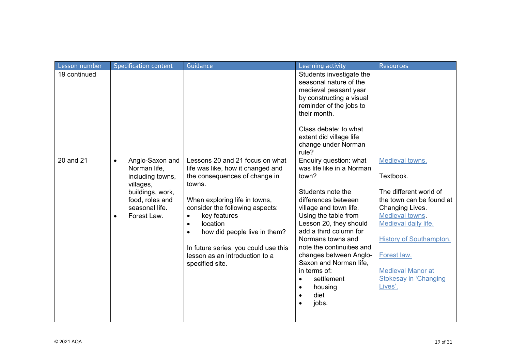| Lesson number | <b>Specification content</b>                                                                                                                                       | Guidance                                                                                                                                                                                                                                                                                                                                                                            | Learning activity                                                                                                                                                                                                                                                                                                                                                                           | <b>Resources</b>                                                                                                                                                                                                                                                         |
|---------------|--------------------------------------------------------------------------------------------------------------------------------------------------------------------|-------------------------------------------------------------------------------------------------------------------------------------------------------------------------------------------------------------------------------------------------------------------------------------------------------------------------------------------------------------------------------------|---------------------------------------------------------------------------------------------------------------------------------------------------------------------------------------------------------------------------------------------------------------------------------------------------------------------------------------------------------------------------------------------|--------------------------------------------------------------------------------------------------------------------------------------------------------------------------------------------------------------------------------------------------------------------------|
| 19 continued  |                                                                                                                                                                    |                                                                                                                                                                                                                                                                                                                                                                                     | Students investigate the<br>seasonal nature of the<br>medieval peasant year<br>by constructing a visual<br>reminder of the jobs to<br>their month.<br>Class debate: to what<br>extent did village life                                                                                                                                                                                      |                                                                                                                                                                                                                                                                          |
|               |                                                                                                                                                                    |                                                                                                                                                                                                                                                                                                                                                                                     | change under Norman<br>rule?                                                                                                                                                                                                                                                                                                                                                                |                                                                                                                                                                                                                                                                          |
| 20 and 21     | Anglo-Saxon and<br>$\bullet$<br>Norman life,<br>including towns,<br>villages,<br>buildings, work,<br>food, roles and<br>seasonal life.<br>Forest Law.<br>$\bullet$ | Lessons 20 and 21 focus on what<br>life was like, how it changed and<br>the consequences of change in<br>towns.<br>When exploring life in towns,<br>consider the following aspects:<br>key features<br>$\bullet$<br>location<br>$\bullet$<br>how did people live in them?<br>$\bullet$<br>In future series, you could use this<br>lesson as an introduction to a<br>specified site. | Enquiry question: what<br>was life like in a Norman<br>town?<br>Students note the<br>differences between<br>village and town life.<br>Using the table from<br>Lesson 20, they should<br>add a third column for<br>Normans towns and<br>note the continuities and<br>changes between Anglo-<br>Saxon and Norman life,<br>in terms of:<br>settlement<br>$\bullet$<br>housing<br>diet<br>jobs. | Medieval towns.<br>Textbook.<br>The different world of<br>the town can be found at<br>Changing Lives.<br>Medieval towns.<br>Medieval daily life.<br><b>History of Southampton.</b><br>Forest law.<br><b>Medieval Manor at</b><br><b>Stokesay in 'Changing</b><br>Lives'. |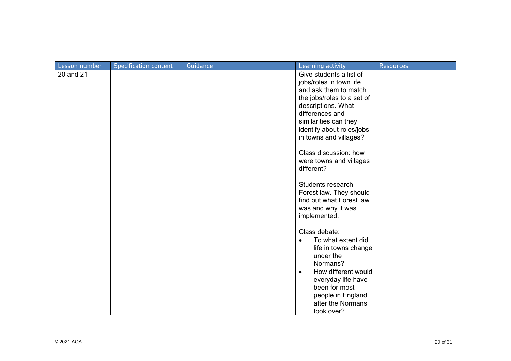| Lesson number | <b>Specification content</b> | Guidance | Learning activity                                                                                                                                                                                                                    | <b>Resources</b> |
|---------------|------------------------------|----------|--------------------------------------------------------------------------------------------------------------------------------------------------------------------------------------------------------------------------------------|------------------|
| 20 and 21     |                              |          | Give students a list of<br>jobs/roles in town life<br>and ask them to match<br>the jobs/roles to a set of<br>descriptions. What<br>differences and<br>similarities can they<br>identify about roles/jobs<br>in towns and villages?   |                  |
|               |                              |          | Class discussion: how<br>were towns and villages<br>different?                                                                                                                                                                       |                  |
|               |                              |          | Students research<br>Forest law. They should<br>find out what Forest law<br>was and why it was<br>implemented.                                                                                                                       |                  |
|               |                              |          | Class debate:<br>To what extent did<br>$\bullet$<br>life in towns change<br>under the<br>Normans?<br>How different would<br>$\bullet$<br>everyday life have<br>been for most<br>people in England<br>after the Normans<br>took over? |                  |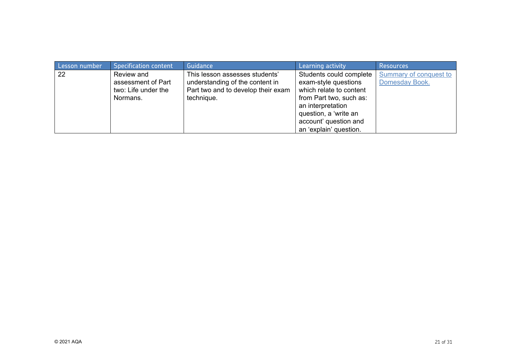| Lesson number | <b>Specification content</b> | Guidance                           | Learning activity       | <b>Resources</b>       |
|---------------|------------------------------|------------------------------------|-------------------------|------------------------|
| 22            | Review and                   | This lesson assesses students'     | Students could complete | Summary of conquest to |
|               | assessment of Part           | understanding of the content in    | exam-style questions    | Domesday Book.         |
|               | two: Life under the          | Part two and to develop their exam | which relate to content |                        |
|               | Normans.                     | technique.                         | from Part two, such as: |                        |
|               |                              |                                    | an interpretation       |                        |
|               |                              |                                    | question, a 'write an   |                        |
|               |                              |                                    | account' question and   |                        |
|               |                              |                                    | an 'explain' question.  |                        |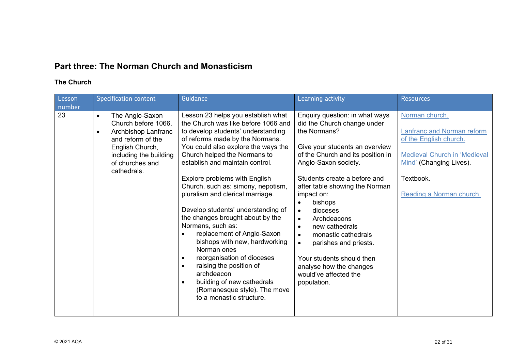# **Part three: The Norman Church and Monasticism**

## **The Church**

| Lesson<br>number | <b>Specification content</b>                                                                                                                                                                | Guidance                                                                                                                                                                                                                                                                                                                                                                                                                                                                                                                                                                                                                                                                                                                                        | Learning activity                                                                                                                                                                                                                                                                                                                                                                                                                                                                                                                                  | <b>Resources</b>                                                                                                                                                                  |
|------------------|---------------------------------------------------------------------------------------------------------------------------------------------------------------------------------------------|-------------------------------------------------------------------------------------------------------------------------------------------------------------------------------------------------------------------------------------------------------------------------------------------------------------------------------------------------------------------------------------------------------------------------------------------------------------------------------------------------------------------------------------------------------------------------------------------------------------------------------------------------------------------------------------------------------------------------------------------------|----------------------------------------------------------------------------------------------------------------------------------------------------------------------------------------------------------------------------------------------------------------------------------------------------------------------------------------------------------------------------------------------------------------------------------------------------------------------------------------------------------------------------------------------------|-----------------------------------------------------------------------------------------------------------------------------------------------------------------------------------|
| 23               | The Anglo-Saxon<br>$\bullet$<br>Church before 1066.<br>Archbishop Lanfranc<br>$\bullet$<br>and reform of the<br>English Church,<br>including the building<br>of churches and<br>cathedrals. | Lesson 23 helps you establish what<br>the Church was like before 1066 and<br>to develop students' understanding<br>of reforms made by the Normans.<br>You could also explore the ways the<br>Church helped the Normans to<br>establish and maintain control.<br>Explore problems with English<br>Church, such as: simony, nepotism,<br>pluralism and clerical marriage.<br>Develop students' understanding of<br>the changes brought about by the<br>Normans, such as:<br>replacement of Anglo-Saxon<br>bishops with new, hardworking<br>Norman ones<br>reorganisation of dioceses<br>$\bullet$<br>raising the position of<br>archdeacon<br>building of new cathedrals<br>$\bullet$<br>(Romanesque style). The move<br>to a monastic structure. | Enquiry question: in what ways<br>did the Church change under<br>the Normans?<br>Give your students an overview<br>of the Church and its position in<br>Anglo-Saxon society.<br>Students create a before and<br>after table showing the Norman<br>impact on:<br>bishops<br>$\bullet$<br>dioceses<br>$\bullet$<br>Archdeacons<br>$\bullet$<br>new cathedrals<br>$\bullet$<br>monastic cathedrals<br>$\bullet$<br>parishes and priests.<br>$\bullet$<br>Your students should then<br>analyse how the changes<br>would've affected the<br>population. | Norman church.<br>Lanfranc and Norman reform<br>of the English church.<br><b>Medieval Church in 'Medieval</b><br>Mind' (Changing Lives).<br>Textbook.<br>Reading a Norman church. |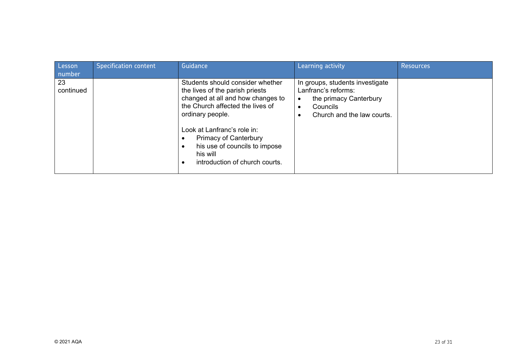| Lesson<br>number | <b>Specification content</b> | Guidance                                                                                                                                                                                                                                                                                                       | Learning activity                                                                                                          | <b>Resources</b> |
|------------------|------------------------------|----------------------------------------------------------------------------------------------------------------------------------------------------------------------------------------------------------------------------------------------------------------------------------------------------------------|----------------------------------------------------------------------------------------------------------------------------|------------------|
| 23<br>continued  |                              | Students should consider whether<br>the lives of the parish priests<br>changed at all and how changes to<br>the Church affected the lives of<br>ordinary people.<br>Look at Lanfranc's role in:<br><b>Primacy of Canterbury</b><br>his use of councils to impose<br>his will<br>introduction of church courts. | In groups, students investigate<br>Lanfranc's reforms:<br>the primacy Canterbury<br>Councils<br>Church and the law courts. |                  |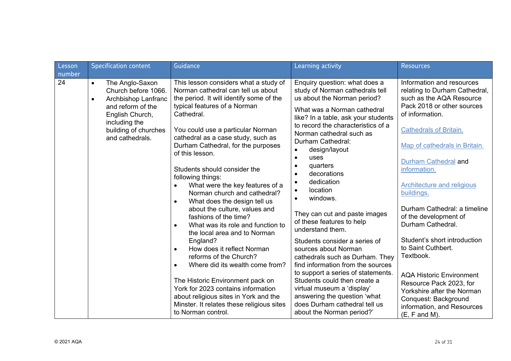| Lesson<br>number | <b>Specification content</b>                                                                                                                                                                | Guidance                                                                                                                                                                                                                                                                                                                                                                                                                                                                                                                                                                                                                                                                                                                                                                                                                                                                                                                                          | Learning activity                                                                                                                                                                                                                                                                                                                                                                                                                                                                                                                                                                                                                                                                                                                                                                                                                                         | <b>Resources</b>                                                                                                                                                                                                                                                                                                                                                                                                                                                                                                                                                                                                             |
|------------------|---------------------------------------------------------------------------------------------------------------------------------------------------------------------------------------------|---------------------------------------------------------------------------------------------------------------------------------------------------------------------------------------------------------------------------------------------------------------------------------------------------------------------------------------------------------------------------------------------------------------------------------------------------------------------------------------------------------------------------------------------------------------------------------------------------------------------------------------------------------------------------------------------------------------------------------------------------------------------------------------------------------------------------------------------------------------------------------------------------------------------------------------------------|-----------------------------------------------------------------------------------------------------------------------------------------------------------------------------------------------------------------------------------------------------------------------------------------------------------------------------------------------------------------------------------------------------------------------------------------------------------------------------------------------------------------------------------------------------------------------------------------------------------------------------------------------------------------------------------------------------------------------------------------------------------------------------------------------------------------------------------------------------------|------------------------------------------------------------------------------------------------------------------------------------------------------------------------------------------------------------------------------------------------------------------------------------------------------------------------------------------------------------------------------------------------------------------------------------------------------------------------------------------------------------------------------------------------------------------------------------------------------------------------------|
| 24               | The Anglo-Saxon<br>$\bullet$<br>Church before 1066.<br>Archbishop Lanfranc<br>$\bullet$<br>and reform of the<br>English Church,<br>including the<br>building of churches<br>and cathedrals. | This lesson considers what a study of<br>Norman cathedral can tell us about<br>the period. It will identify some of the<br>typical features of a Norman<br>Cathedral.<br>You could use a particular Norman<br>cathedral as a case study, such as<br>Durham Cathedral, for the purposes<br>of this lesson.<br>Students should consider the<br>following things:<br>What were the key features of a<br>Norman church and cathedral?<br>What does the design tell us<br>$\bullet$<br>about the culture, values and<br>fashions of the time?<br>What was its role and function to<br>$\bullet$<br>the local area and to Norman<br>England?<br>How does it reflect Norman<br>$\bullet$<br>reforms of the Church?<br>Where did its wealth come from?<br>$\bullet$<br>The Historic Environment pack on<br>York for 2023 contains information<br>about religious sites in York and the<br>Minster. It relates these religious sites<br>to Norman control. | Enquiry question: what does a<br>study of Norman cathedrals tell<br>us about the Norman period?<br>What was a Norman cathedral<br>like? In a table, ask your students<br>to record the characteristics of a<br>Norman cathedral such as<br>Durham Cathedral:<br>design/layout<br>$\bullet$<br>uses<br>$\bullet$<br>quarters<br>$\bullet$<br>decorations<br>$\bullet$<br>dedication<br>$\bullet$<br>location<br>$\bullet$<br>windows.<br>They can cut and paste images<br>of these features to help<br>understand them.<br>Students consider a series of<br>sources about Norman<br>cathedrals such as Durham. They<br>find information from the sources<br>to support a series of statements.<br>Students could then create a<br>virtual museum a 'display'<br>answering the question 'what<br>does Durham cathedral tell us<br>about the Norman period?' | Information and resources<br>relating to Durham Cathedral,<br>such as the AQA Resource<br>Pack 2018 or other sources<br>of information.<br><b>Cathedrals of Britain.</b><br>Map of cathedrals in Britain.<br>Durham Cathedral and<br>information.<br>Architecture and religious<br>buildings.<br>Durham Cathedral: a timeline<br>of the development of<br>Durham Cathedral.<br>Student's short introduction<br>to Saint Cuthbert.<br>Textbook.<br><b>AQA Historic Environment</b><br>Resource Pack 2023, for<br>Yorkshire after the Norman<br>Conquest: Background<br>information, and Resources<br>$(E, F \text{ and } M).$ |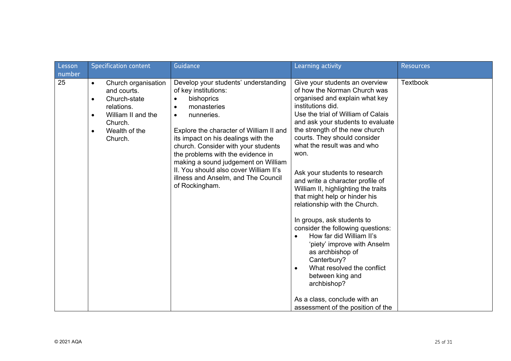| Lesson       | <b>Specification content</b>                                                                                                                                                      | Guidance                                                                                                                                                                                                                                                                                                                                                                                                                                  | Learning activity                                                                                                                                                                                                                                                                                                                                                                                                                                                                                                                                                                                                                                                                                                                                                                                                        | <b>Resources</b> |
|--------------|-----------------------------------------------------------------------------------------------------------------------------------------------------------------------------------|-------------------------------------------------------------------------------------------------------------------------------------------------------------------------------------------------------------------------------------------------------------------------------------------------------------------------------------------------------------------------------------------------------------------------------------------|--------------------------------------------------------------------------------------------------------------------------------------------------------------------------------------------------------------------------------------------------------------------------------------------------------------------------------------------------------------------------------------------------------------------------------------------------------------------------------------------------------------------------------------------------------------------------------------------------------------------------------------------------------------------------------------------------------------------------------------------------------------------------------------------------------------------------|------------------|
| number<br>25 | Church organisation<br>$\bullet$<br>and courts.<br>Church-state<br>$\bullet$<br>relations.<br>William II and the<br>$\bullet$<br>Church.<br>Wealth of the<br>$\bullet$<br>Church. | Develop your students' understanding<br>of key institutions:<br>bishoprics<br>monasteries<br>$\bullet$<br>nunneries.<br>$\bullet$<br>Explore the character of William II and<br>its impact on his dealings with the<br>church. Consider with your students<br>the problems with the evidence in<br>making a sound judgement on William<br>II. You should also cover William II's<br>illness and Anselm, and The Council<br>of Rockingham. | Give your students an overview<br>of how the Norman Church was<br>organised and explain what key<br>institutions did.<br>Use the trial of William of Calais<br>and ask your students to evaluate<br>the strength of the new church<br>courts. They should consider<br>what the result was and who<br>won.<br>Ask your students to research<br>and write a character profile of<br>William II, highlighting the traits<br>that might help or hinder his<br>relationship with the Church.<br>In groups, ask students to<br>consider the following questions:<br>How far did William II's<br>$\bullet$<br>'piety' improve with Anselm<br>as archbishop of<br>Canterbury?<br>What resolved the conflict<br>$\bullet$<br>between king and<br>archbishop?<br>As a class, conclude with an<br>assessment of the position of the | <b>Textbook</b>  |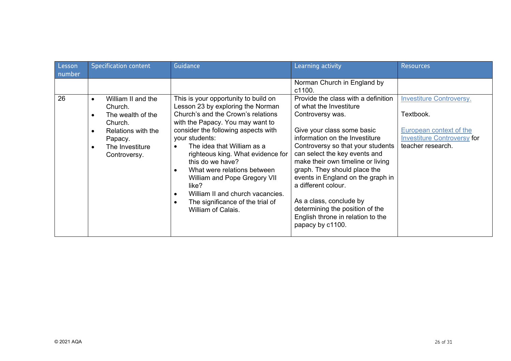| Lesson       | <b>Specification content</b>                                                                                                                                                          | Guidance                                                                                                                                                                                                                                                                                                                                                                                                                                                          | Learning activity                                                                                                                                                                                                                                                                                                                                                                                                             | <b>Resources</b>                                                                                                                   |
|--------------|---------------------------------------------------------------------------------------------------------------------------------------------------------------------------------------|-------------------------------------------------------------------------------------------------------------------------------------------------------------------------------------------------------------------------------------------------------------------------------------------------------------------------------------------------------------------------------------------------------------------------------------------------------------------|-------------------------------------------------------------------------------------------------------------------------------------------------------------------------------------------------------------------------------------------------------------------------------------------------------------------------------------------------------------------------------------------------------------------------------|------------------------------------------------------------------------------------------------------------------------------------|
| number<br>26 | William II and the<br>$\bullet$<br>Church.<br>The wealth of the<br>$\bullet$<br>Church.<br>Relations with the<br>$\bullet$<br>Papacy.<br>The Investiture<br>$\bullet$<br>Controversy. | This is your opportunity to build on<br>Lesson 23 by exploring the Norman<br>Church's and the Crown's relations<br>with the Papacy. You may want to<br>consider the following aspects with<br>your students:<br>The idea that William as a<br>righteous king. What evidence for<br>this do we have?<br>What were relations between<br>William and Pope Gregory VII<br>like?<br>William II and church vacancies.<br>$\epsilon$<br>The significance of the trial of | Norman Church in England by<br>c1100.<br>Provide the class with a definition<br>of what the Investiture<br>Controversy was.<br>Give your class some basic<br>information on the Investiture<br>Controversy so that your students<br>can select the key events and<br>make their own timeline or living<br>graph. They should place the<br>events in England on the graph in<br>a different colour.<br>As a class, conclude by | <b>Investiture Controversy.</b><br>Textbook.<br>European context of the<br><b>Investiture Controversy for</b><br>teacher research. |
|              |                                                                                                                                                                                       | William of Calais.                                                                                                                                                                                                                                                                                                                                                                                                                                                | determining the position of the<br>English throne in relation to the<br>papacy by c1100.                                                                                                                                                                                                                                                                                                                                      |                                                                                                                                    |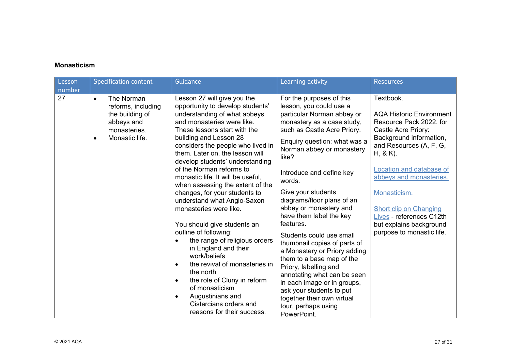#### **Monasticism**

| Lesson<br>number | <b>Specification content</b>                                                                                                  | Guidance                                                                                                                                                                                                                                                                                                                                                                                                                                                                                                                                                                                                                                                                                                                                                                                                                                     | Learning activity                                                                                                                                                                                                                                                                                                                                                                                                                                                                                                                                                                                                                                                                                | <b>Resources</b>                                                                                                                                                                                                                                                                                                                                         |
|------------------|-------------------------------------------------------------------------------------------------------------------------------|----------------------------------------------------------------------------------------------------------------------------------------------------------------------------------------------------------------------------------------------------------------------------------------------------------------------------------------------------------------------------------------------------------------------------------------------------------------------------------------------------------------------------------------------------------------------------------------------------------------------------------------------------------------------------------------------------------------------------------------------------------------------------------------------------------------------------------------------|--------------------------------------------------------------------------------------------------------------------------------------------------------------------------------------------------------------------------------------------------------------------------------------------------------------------------------------------------------------------------------------------------------------------------------------------------------------------------------------------------------------------------------------------------------------------------------------------------------------------------------------------------------------------------------------------------|----------------------------------------------------------------------------------------------------------------------------------------------------------------------------------------------------------------------------------------------------------------------------------------------------------------------------------------------------------|
| 27               | The Norman<br>$\bullet$<br>reforms, including<br>the building of<br>abbeys and<br>monasteries.<br>Monastic life.<br>$\bullet$ | Lesson 27 will give you the<br>opportunity to develop students'<br>understanding of what abbeys<br>and monasteries were like.<br>These lessons start with the<br>building and Lesson 28<br>considers the people who lived in<br>them. Later on, the lesson will<br>develop students' understanding<br>of the Norman reforms to<br>monastic life. It will be useful,<br>when assessing the extent of the<br>changes, for your students to<br>understand what Anglo-Saxon<br>monasteries were like.<br>You should give students an<br>outline of following:<br>the range of religious orders<br>in England and their<br>work/beliefs<br>the revival of monasteries in<br>$\bullet$<br>the north<br>the role of Cluny in reform<br>٠<br>of monasticism<br>Augustinians and<br>$\bullet$<br>Cistercians orders and<br>reasons for their success. | For the purposes of this<br>lesson, you could use a<br>particular Norman abbey or<br>monastery as a case study,<br>such as Castle Acre Priory.<br>Enquiry question: what was a<br>Norman abbey or monastery<br>like?<br>Introduce and define key<br>words.<br>Give your students<br>diagrams/floor plans of an<br>abbey or monastery and<br>have them label the key<br>features.<br>Students could use small<br>thumbnail copies of parts of<br>a Monastery or Priory adding<br>them to a base map of the<br>Priory, labelling and<br>annotating what can be seen<br>in each image or in groups,<br>ask your students to put<br>together their own virtual<br>tour, perhaps using<br>PowerPoint. | Textbook.<br><b>AQA Historic Environment</b><br>Resource Pack 2022, for<br>Castle Acre Priory:<br>Background information,<br>and Resources (A, F, G,<br>$H, & K$ ).<br>Location and database of<br>abbeys and monasteries.<br>Monasticism.<br>Short clip on Changing<br>Lives - references C12th<br>but explains background<br>purpose to monastic life. |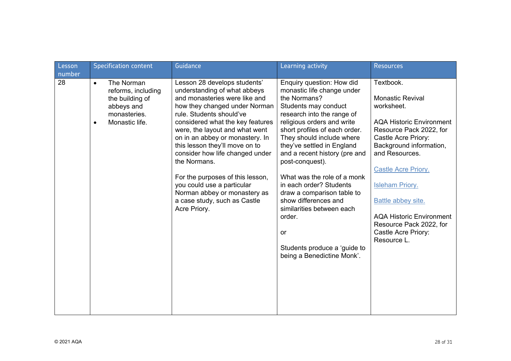| Lesson<br>number | <b>Specification content</b>                                                                                                  | Guidance                                                                                                                                                                                                                                                                                                                                                                                                                                                                                                   | Learning activity                                                                                                                                                                                                                                                                                                                                                                                                                                                                                                                             | <b>Resources</b>                                                                                                                                                                                                                                                                                                                                                       |
|------------------|-------------------------------------------------------------------------------------------------------------------------------|------------------------------------------------------------------------------------------------------------------------------------------------------------------------------------------------------------------------------------------------------------------------------------------------------------------------------------------------------------------------------------------------------------------------------------------------------------------------------------------------------------|-----------------------------------------------------------------------------------------------------------------------------------------------------------------------------------------------------------------------------------------------------------------------------------------------------------------------------------------------------------------------------------------------------------------------------------------------------------------------------------------------------------------------------------------------|------------------------------------------------------------------------------------------------------------------------------------------------------------------------------------------------------------------------------------------------------------------------------------------------------------------------------------------------------------------------|
| 28               | The Norman<br>$\bullet$<br>reforms, including<br>the building of<br>abbeys and<br>monasteries.<br>Monastic life.<br>$\bullet$ | Lesson 28 develops students'<br>understanding of what abbeys<br>and monasteries were like and<br>how they changed under Norman<br>rule. Students should've<br>considered what the key features<br>were, the layout and what went<br>on in an abbey or monastery. In<br>this lesson they'll move on to<br>consider how life changed under<br>the Normans.<br>For the purposes of this lesson,<br>you could use a particular<br>Norman abbey or monastery as<br>a case study, such as Castle<br>Acre Priory. | Enquiry question: How did<br>monastic life change under<br>the Normans?<br>Students may conduct<br>research into the range of<br>religious orders and write<br>short profiles of each order.<br>They should include where<br>they've settled in England<br>and a recent history (pre and<br>post-conquest).<br>What was the role of a monk<br>in each order? Students<br>draw a comparison table to<br>show differences and<br>similarities between each<br>order.<br><b>or</b><br>Students produce a 'guide to<br>being a Benedictine Monk'. | Textbook.<br><b>Monastic Revival</b><br>worksheet.<br><b>AQA Historic Environment</b><br>Resource Pack 2022, for<br>Castle Acre Priory:<br>Background information,<br>and Resources.<br><b>Castle Acre Priory.</b><br><b>Isleham Priory.</b><br>Battle abbey site.<br><b>AQA Historic Environment</b><br>Resource Pack 2022, for<br>Castle Acre Priory:<br>Resource L. |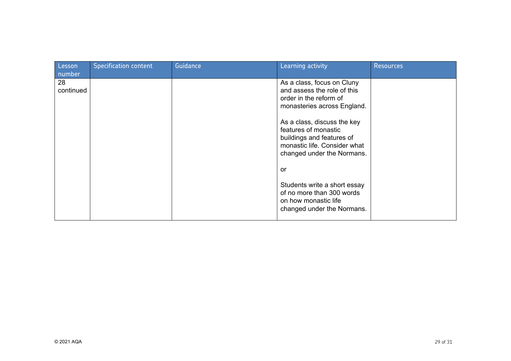| Lesson<br>number | <b>Specification content</b> | Guidance | Learning activity                                                                                                                                                                                                                                                    | <b>Resources</b> |
|------------------|------------------------------|----------|----------------------------------------------------------------------------------------------------------------------------------------------------------------------------------------------------------------------------------------------------------------------|------------------|
| 28<br>continued  |                              |          | As a class, focus on Cluny<br>and assess the role of this<br>order in the reform of<br>monasteries across England.<br>As a class, discuss the key<br>features of monastic<br>buildings and features of<br>monastic life. Consider what<br>changed under the Normans. |                  |
|                  |                              |          | or<br>Students write a short essay<br>of no more than 300 words<br>on how monastic life<br>changed under the Normans.                                                                                                                                                |                  |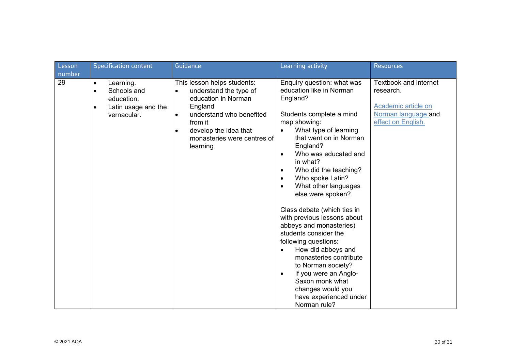| Lesson<br>number | <b>Specification content</b>                                                                                        | Guidance                                                                                                                                                                                                                      | Learning activity                                                                                                                                                                                                                                                                                                                                                                                                                                                                                                                                                                                                                                                                                                    | <b>Resources</b>                                                                                       |
|------------------|---------------------------------------------------------------------------------------------------------------------|-------------------------------------------------------------------------------------------------------------------------------------------------------------------------------------------------------------------------------|----------------------------------------------------------------------------------------------------------------------------------------------------------------------------------------------------------------------------------------------------------------------------------------------------------------------------------------------------------------------------------------------------------------------------------------------------------------------------------------------------------------------------------------------------------------------------------------------------------------------------------------------------------------------------------------------------------------------|--------------------------------------------------------------------------------------------------------|
| 29               | Learning.<br>$\bullet$<br>Schools and<br>$\bullet$<br>education.<br>Latin usage and the<br>$\bullet$<br>vernacular. | This lesson helps students:<br>understand the type of<br>education in Norman<br>England<br>understand who benefited<br>$\bullet$<br>from it<br>develop the idea that<br>$\bullet$<br>monasteries were centres of<br>learning. | Enquiry question: what was<br>education like in Norman<br>England?<br>Students complete a mind<br>map showing:<br>What type of learning<br>that went on in Norman<br>England?<br>Who was educated and<br>$\bullet$<br>in what?<br>Who did the teaching?<br>$\bullet$<br>Who spoke Latin?<br>$\bullet$<br>What other languages<br>$\bullet$<br>else were spoken?<br>Class debate (which ties in<br>with previous lessons about<br>abbeys and monasteries)<br>students consider the<br>following questions:<br>How did abbeys and<br>$\bullet$<br>monasteries contribute<br>to Norman society?<br>If you were an Anglo-<br>$\bullet$<br>Saxon monk what<br>changes would you<br>have experienced under<br>Norman rule? | Textbook and internet<br>research.<br>Academic article on<br>Norman language and<br>effect on English. |